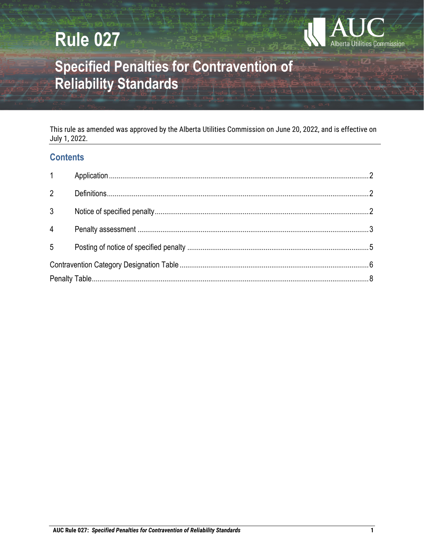# **Rule 027**



## **Specified Penalties for Contravention of Reliability Standards**

This rule as amended was approved by the Alberta Utilities Commission on June 20, 2022, and is effective on July 1, 2022.

### **Contents**

| 1 <sup>1</sup> |  |
|----------------|--|
| $2^{\circ}$    |  |
| $\mathfrak{Z}$ |  |
| $\overline{4}$ |  |
| 5              |  |
|                |  |
|                |  |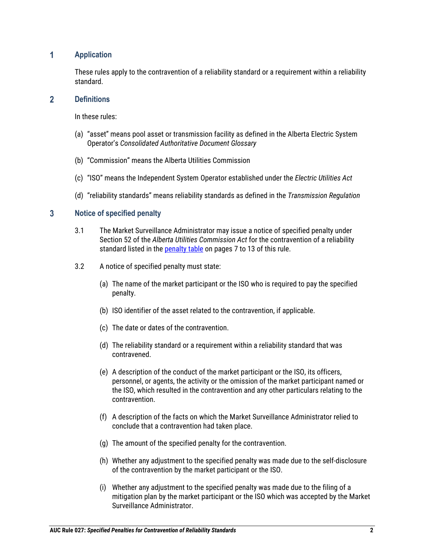#### $\overline{1}$ **Application**

These rules apply to the contravention of a reliability standard or a requirement within a reliability standard.

#### $\overline{2}$ **Definitions**

In these rules:

- (a) "asset" means pool asset or transmission facility as defined in the Alberta Electric System Operator's *Consolidated Authoritative Document Glossary*
- (b) "Commission" means the Alberta Utilities Commission
- (c) "ISO" means the Independent System Operator established under the *Electric Utilities Act*
- (d) "reliability standards" means reliability standards as defined in the *Transmission Regulation*

#### $3<sup>1</sup>$ **Notice of specified penalty**

- 3.1 The Market Surveillance Administrator may issue a notice of specified penalty under Section 52 of the *Alberta Utilities Commission Act* for the contravention of a reliability standard listed in the penalty table on pages 7 to 13 of this rule.
- 3.2 A notice of specified penalty must state:
	- (a) The name of the market participant or the ISO who is required to pay the specified penalty.
	- (b) ISO identifier of the asset related to the contravention, if applicable.
	- (c) The date or dates of the contravention.
	- (d) The reliability standard or a requirement within a reliability standard that was contravened.
	- (e) A description of the conduct of the market participant or the ISO, its officers, personnel, or agents, the activity or the omission of the market participant named or the ISO, which resulted in the contravention and any other particulars relating to the contravention.
	- (f) A description of the facts on which the Market Surveillance Administrator relied to conclude that a contravention had taken place.
	- (g) The amount of the specified penalty for the contravention.
	- (h) Whether any adjustment to the specified penalty was made due to the self-disclosure of the contravention by the market participant or the ISO.
	- (i) Whether any adjustment to the specified penalty was made due to the filing of a mitigation plan by the market participant or the ISO which was accepted by the Market Surveillance Administrator.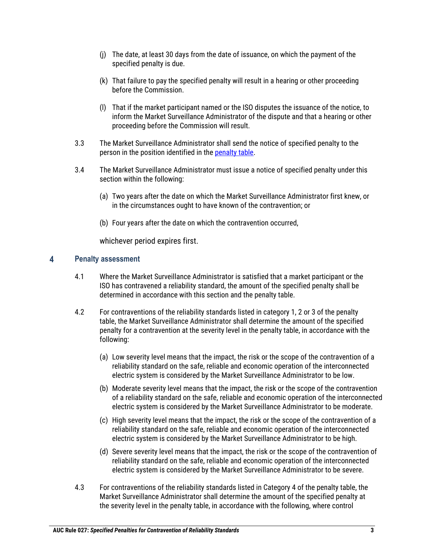- (j) The date, at least 30 days from the date of issuance, on which the payment of the specified penalty is due.
- (k) That failure to pay the specified penalty will result in a hearing or other proceeding before the Commission.
- (l) That if the market participant named or the ISO disputes the issuance of the notice, to inform the Market Surveillance Administrator of the dispute and that a hearing or other proceeding before the Commission will result.
- 3.3 The Market Surveillance Administrator shall send the notice of specified penalty to the person in the position identified in the penalty table.
- 3.4 The Market Surveillance Administrator must issue a notice of specified penalty under this section within the following:
	- (a) Two years after the date on which the Market Surveillance Administrator first knew, or in the circumstances ought to have known of the contravention; or
	- (b) Four years after the date on which the contravention occurred,

whichever period expires first.

#### $\overline{\mathbf{4}}$ **Penalty assessment**

- 4.1 Where the Market Surveillance Administrator is satisfied that a market participant or the ISO has contravened a reliability standard, the amount of the specified penalty shall be determined in accordance with this section and the penalty table.
- 4.2 For contraventions of the reliability standards listed in category 1, 2 or 3 of the penalty table, the Market Surveillance Administrator shall determine the amount of the specified penalty for a contravention at the severity level in the penalty table, in accordance with the following:
	- (a) Low severity level means that the impact, the risk or the scope of the contravention of a reliability standard on the safe, reliable and economic operation of the interconnected electric system is considered by the Market Surveillance Administrator to be low.
	- (b) Moderate severity level means that the impact, the risk or the scope of the contravention of a reliability standard on the safe, reliable and economic operation of the interconnected electric system is considered by the Market Surveillance Administrator to be moderate.
	- (c) High severity level means that the impact, the risk or the scope of the contravention of a reliability standard on the safe, reliable and economic operation of the interconnected electric system is considered by the Market Surveillance Administrator to be high.
	- (d) Severe severity level means that the impact, the risk or the scope of the contravention of reliability standard on the safe, reliable and economic operation of the interconnected electric system is considered by the Market Surveillance Administrator to be severe.
- 4.3 For contraventions of the reliability standards listed in Category 4 of the penalty table, the Market Surveillance Administrator shall determine the amount of the specified penalty at the severity level in the penalty table, in accordance with the following, where control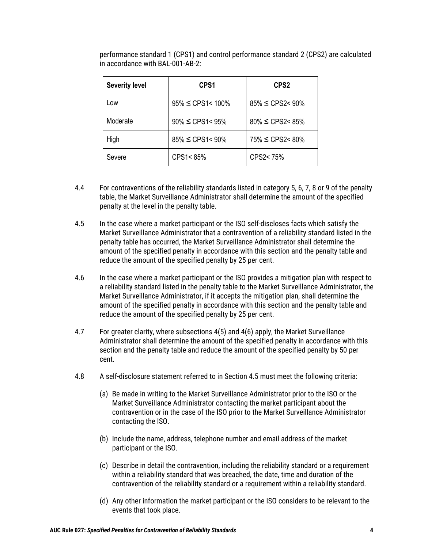| <b>Severity level</b> | CPS <sub>1</sub>        |                         |
|-----------------------|-------------------------|-------------------------|
| Low                   | 95% ≤ CPS1< 100%        | $85\% \le CPS2 < 90\%$  |
| Moderate              | $90\% \leq CPS1 < 95\%$ | $80\% \leq CPS2 < 85\%$ |
| High                  | $85\% \leq CPS1 < 90\%$ | 75% ≤ CPS2< 80%         |
| Severe                | CPS1<85%                | CPS2<75%                |

performance standard 1 (CPS1) and control performance standard 2 (CPS2) are calculated in accordance with BAL-001-AB-2:

- 4.4 For contraventions of the reliability standards listed in category 5, 6, 7, 8 or 9 of the penalty table, the Market Surveillance Administrator shall determine the amount of the specified penalty at the level in the penalty table.
- 4.5 In the case where a market participant or the ISO self-discloses facts which satisfy the Market Surveillance Administrator that a contravention of a reliability standard listed in the penalty table has occurred, the Market Surveillance Administrator shall determine the amount of the specified penalty in accordance with this section and the penalty table and reduce the amount of the specified penalty by 25 per cent.
- 4.6 In the case where a market participant or the ISO provides a mitigation plan with respect to a reliability standard listed in the penalty table to the Market Surveillance Administrator, the Market Surveillance Administrator, if it accepts the mitigation plan, shall determine the amount of the specified penalty in accordance with this section and the penalty table and reduce the amount of the specified penalty by 25 per cent.
- 4.7 For greater clarity, where subsections 4(5) and 4(6) apply, the Market Surveillance Administrator shall determine the amount of the specified penalty in accordance with this section and the penalty table and reduce the amount of the specified penalty by 50 per cent.
- 4.8 A self-disclosure statement referred to in Section 4.5 must meet the following criteria:
	- (a) Be made in writing to the Market Surveillance Administrator prior to the ISO or the Market Surveillance Administrator contacting the market participant about the contravention or in the case of the ISO prior to the Market Surveillance Administrator contacting the ISO.
	- (b) Include the name, address, telephone number and email address of the market participant or the ISO.
	- (c) Describe in detail the contravention, including the reliability standard or a requirement within a reliability standard that was breached, the date, time and duration of the contravention of the reliability standard or a requirement within a reliability standard.
	- (d) Any other information the market participant or the ISO considers to be relevant to the events that took place.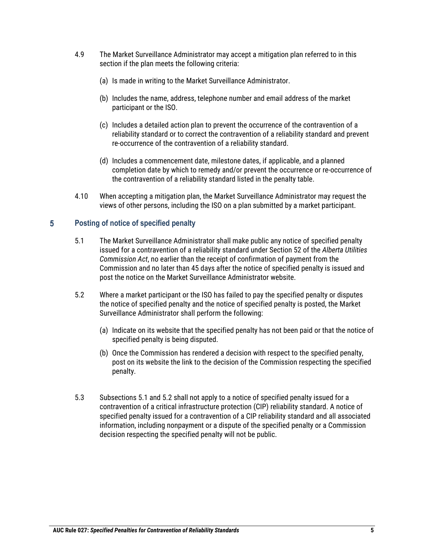- 4.9 The Market Surveillance Administrator may accept a mitigation plan referred to in this section if the plan meets the following criteria:
	- (a) Is made in writing to the Market Surveillance Administrator.
	- (b) Includes the name, address, telephone number and email address of the market participant or the ISO.
	- (c) Includes a detailed action plan to prevent the occurrence of the contravention of a reliability standard or to correct the contravention of a reliability standard and prevent re-occurrence of the contravention of a reliability standard.
	- (d) Includes a commencement date, milestone dates, if applicable, and a planned completion date by which to remedy and/or prevent the occurrence or re-occurrence of the contravention of a reliability standard listed in the penalty table.
- 4.10 When accepting a mitigation plan, the Market Surveillance Administrator may request the views of other persons, including the ISO on a plan submitted by a market participant.

#### $5<sup>5</sup>$ **Posting of notice of specified penalty**

- 5.1 The Market Surveillance Administrator shall make public any notice of specified penalty issued for a contravention of a reliability standard under Section 52 of the *Alberta Utilities Commission Act*, no earlier than the receipt of confirmation of payment from the Commission and no later than 45 days after the notice of specified penalty is issued and post the notice on the Market Surveillance Administrator website.
- 5.2 Where a market participant or the ISO has failed to pay the specified penalty or disputes the notice of specified penalty and the notice of specified penalty is posted, the Market Surveillance Administrator shall perform the following:
	- (a) Indicate on its website that the specified penalty has not been paid or that the notice of specified penalty is being disputed.
	- (b) Once the Commission has rendered a decision with respect to the specified penalty, post on its website the link to the decision of the Commission respecting the specified penalty.
- 5.3 Subsections 5.1 and 5.2 shall not apply to a notice of specified penalty issued for a contravention of a critical infrastructure protection (CIP) reliability standard. A notice of specified penalty issued for a contravention of a CIP reliability standard and all associated information, including nonpayment or a dispute of the specified penalty or a Commission decision respecting the specified penalty will not be public.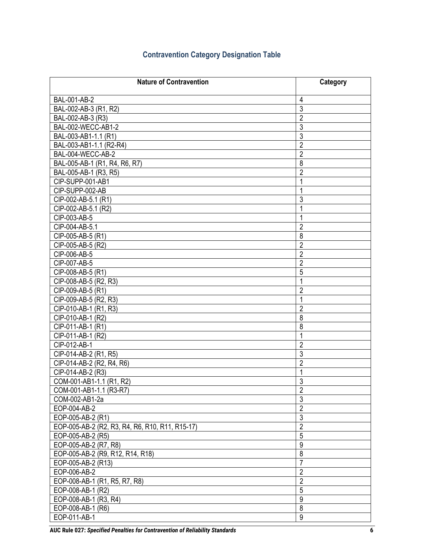### **Contravention Category Designation Table**

| <b>Nature of Contravention</b>                  | Category         |
|-------------------------------------------------|------------------|
| BAL-001-AB-2                                    | 4                |
| BAL-002-AB-3 (R1, R2)                           | $\mathfrak{Z}$   |
| BAL-002-AB-3 (R3)                               | $\overline{2}$   |
| BAL-002-WECC-AB1-2                              | $\mathfrak{Z}$   |
| BAL-003-AB1-1.1 (R1)                            | $\overline{3}$   |
| BAL-003-AB1-1.1 (R2-R4)                         | $\overline{2}$   |
| BAL-004-WECC-AB-2                               | $\overline{2}$   |
| BAL-005-AB-1 (R1, R4, R6, R7)                   | 8                |
| BAL-005-AB-1 (R3, R5)                           | $\overline{2}$   |
| CIP-SUPP-001-AB1                                | 1                |
| CIP-SUPP-002-AB                                 |                  |
| CIP-002-AB-5.1 (R1)                             | 3                |
| CIP-002-AB-5.1 (R2)                             | 1                |
| CIP-003-AB-5                                    | 1                |
| CIP-004-AB-5.1                                  | $\overline{2}$   |
| CIP-005-AB-5 (R1)                               | 8                |
| CIP-005-AB-5 (R2)                               | $\overline{2}$   |
| CIP-006-AB-5                                    | $\overline{2}$   |
| CIP-007-AB-5                                    | $\overline{2}$   |
| CIP-008-AB-5 (R1)                               | 5                |
| CIP-008-AB-5 (R2, R3)                           | 1                |
| CIP-009-AB-5 (R1)                               | $\overline{2}$   |
| CIP-009-AB-5 (R2, R3)                           | 1                |
| CIP-010-AB-1 (R1, R3)                           | $\overline{2}$   |
| CIP-010-AB-1 (R2)                               | 8                |
| CIP-011-AB-1 (R1)                               | 8                |
| CIP-011-AB-1 (R2)                               | 1                |
| CIP-012-AB-1                                    | $\overline{2}$   |
| CIP-014-AB-2 (R1, R5)                           | 3                |
| CIP-014-AB-2 (R2, R4, R6)                       | $\overline{2}$   |
| CIP-014-AB-2 (R3)                               | 1                |
| COM-001-AB1-1.1 (R1, R2)                        | 3                |
| COM-001-AB1-1.1 (R3-R7)                         | $\sqrt{2}$       |
| COM-002-AB1-2a                                  | $\overline{3}$   |
| EOP-004-AB-2                                    | $\overline{2}$   |
| EOP-005-AB-2 (R1)                               | $\overline{3}$   |
| EOP-005-AB-2 (R2, R3, R4, R6, R10, R11, R15-17) | $\overline{2}$   |
| EOP-005-AB-2 (R5)                               | $\overline{5}$   |
| EOP-005-AB-2 (R7, R8)                           | $\boldsymbol{9}$ |
| EOP-005-AB-2 (R9, R12, R14, R18)                | $\bf 8$          |
| EOP-005-AB-2 (R13)                              | $\overline{7}$   |
| EOP-006-AB-2                                    | $\overline{2}$   |
| EOP-008-AB-1 (R1, R5, R7, R8)                   | $\overline{2}$   |
| EOP-008-AB-1 (R2)                               | $\overline{5}$   |
| EOP-008-AB-1 (R3, R4)                           | 9                |
| EOP-008-AB-1 (R6)                               | 8                |
| EOP-011-AB-1                                    | $\boldsymbol{9}$ |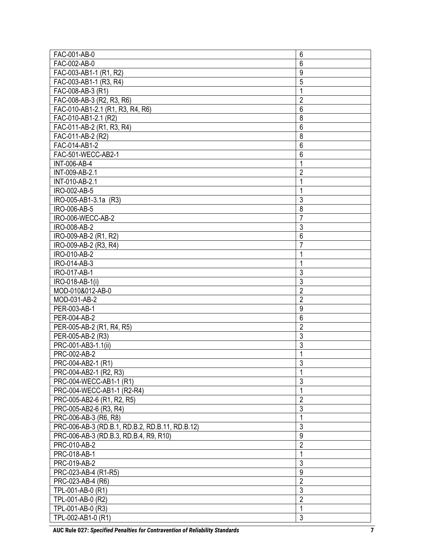| FAC-001-AB-0                                    | 6                   |
|-------------------------------------------------|---------------------|
| FAC-002-AB-0                                    | 6                   |
| FAC-003-AB1-1 (R1, R2)                          | 9                   |
| FAC-003-AB1-1 (R3, R4)                          | 5                   |
| FAC-008-AB-3 (R1)                               | $\mathbf{1}$        |
| FAC-008-AB-3 (R2, R3, R6)                       | $\overline{2}$      |
| FAC-010-AB1-2.1 (R1, R3, R4, R6)                | 6                   |
| FAC-010-AB1-2.1 (R2)                            | 8                   |
| FAC-011-AB-2 (R1, R3, R4)                       | 6                   |
| FAC-011-AB-2 (R2)                               | 8                   |
| FAC-014-AB1-2                                   | 6                   |
| FAC-501-WECC-AB2-1                              | 6                   |
| <b>INT-006-AB-4</b>                             | 1                   |
| INT-009-AB-2.1                                  | $\overline{2}$      |
| INT-010-AB-2.1                                  | 1                   |
| IRO-002-AB-5                                    | 1                   |
| IRO-005-AB1-3.1a (R3)                           | 3                   |
| IRO-006-AB-5                                    | 8                   |
| IRO-006-WECC-AB-2                               | $\overline{7}$      |
| IRO-008-AB-2                                    | 3                   |
| IRO-009-AB-2 (R1, R2)                           | $6\phantom{1}6$     |
| IRO-009-AB-2 (R3, R4)                           | $\overline{7}$      |
| IRO-010-AB-2                                    | 1                   |
| IRO-014-AB-3                                    | $\mathbf{1}$        |
| IRO-017-AB-1                                    | 3                   |
| IRO-018-AB-1(i)                                 | 3                   |
| MOD-010&012-AB-0                                | $\overline{2}$      |
| MOD-031-AB-2                                    | $\overline{2}$      |
| PER-003-AB-1                                    | 9                   |
| PER-004-AB-2                                    | 6                   |
| PER-005-AB-2 (R1, R4, R5)                       | $\overline{2}$      |
| PER-005-AB-2 (R3)                               | 3                   |
| PRC-001-AB3-1.1(ii)                             | 3                   |
| PRC-002-AB-2                                    | $\mathbf{1}$        |
| PRC-004-AB2-1 (R1)                              | 3                   |
| PRC-004-AB2-1 (R2, R3)                          | $\mathbf{1}$        |
| PRC-004-WECC-AB1-1 (R1)                         | 3                   |
| PRC-004-WECC-AB1-1 (R2-R4)                      | $\mathbf{1}$        |
| PRC-005-AB2-6 (R1, R2, R5)                      | $\overline{2}$      |
| PRC-005-AB2-6 (R3, R4)                          | 3                   |
| PRC-006-AB-3 (R6, R8)                           | $\mathbf{1}$        |
| PRC-006-AB-3 (RD.B.1, RD.B.2, RD.B.11, RD.B.12) | 3                   |
| PRC-006-AB-3 (RD.B.3, RD.B.4, R9, R10)          | 9                   |
| PRC-010-AB-2                                    | $\overline{2}$      |
| PRC-018-AB-1                                    | $\mathbf{1}$        |
| PRC-019-AB-2                                    | 3                   |
| PRC-023-AB-4 (R1-R5)                            | $\boldsymbol{9}$    |
| PRC-023-AB-4 (R6)                               |                     |
|                                                 | $\overline{2}$      |
| TPL-001-AB-0 (R1)                               | $\overline{3}$      |
| TPL-001-AB-0 (R2)                               | $\overline{2}$      |
| TPL-001-AB-0 (R3)                               | 1<br>$\mathfrak{Z}$ |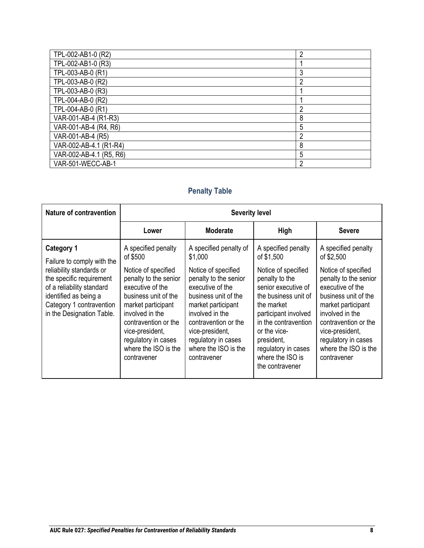| TPL-002-AB1-0 (R2)      | າ |
|-------------------------|---|
| TPL-002-AB1-0 (R3)      |   |
| TPL-003-AB-0 (R1)       | 3 |
| TPL-003-AB-0 (R2)       | ∩ |
| TPL-003-AB-0 (R3)       |   |
| TPL-004-AB-0 (R2)       |   |
| TPL-004-AB-0 (R1)       | റ |
| VAR-001-AB-4 (R1-R3)    | 8 |
| VAR-001-AB-4 (R4, R6)   | 5 |
| VAR-001-AB-4 (R5)       | ົ |
| VAR-002-AB-4.1 (R1-R4)  | 8 |
| VAR-002-AB-4.1 (R5, R6) | 5 |
| VAR-501-WECC-AB-1       | റ |
|                         |   |

| Nature of contravention                                                                                                                                             | <b>Severity level</b>                                                                                                                                                                                                                      |                                                                                                                                                                                                                                            |                                                                                                                                                                                                                                                |                                                                                                                                                                                                                                            |
|---------------------------------------------------------------------------------------------------------------------------------------------------------------------|--------------------------------------------------------------------------------------------------------------------------------------------------------------------------------------------------------------------------------------------|--------------------------------------------------------------------------------------------------------------------------------------------------------------------------------------------------------------------------------------------|------------------------------------------------------------------------------------------------------------------------------------------------------------------------------------------------------------------------------------------------|--------------------------------------------------------------------------------------------------------------------------------------------------------------------------------------------------------------------------------------------|
|                                                                                                                                                                     | Lower                                                                                                                                                                                                                                      | <b>Moderate</b>                                                                                                                                                                                                                            | High                                                                                                                                                                                                                                           | <b>Severe</b>                                                                                                                                                                                                                              |
| <b>Category 1</b><br>Failure to comply with the                                                                                                                     | A specified penalty<br>of \$500                                                                                                                                                                                                            | A specified penalty of<br>\$1,000                                                                                                                                                                                                          | A specified penalty<br>of \$1,500                                                                                                                                                                                                              | A specified penalty<br>of \$2,500                                                                                                                                                                                                          |
| reliability standards or<br>the specific requirement<br>of a reliability standard<br>identified as being a<br>Category 1 contravention<br>in the Designation Table. | Notice of specified<br>penalty to the senior<br>executive of the<br>business unit of the<br>market participant<br>involved in the<br>contravention or the<br>vice-president,<br>regulatory in cases<br>where the ISO is the<br>contravener | Notice of specified<br>penalty to the senior<br>executive of the<br>business unit of the<br>market participant<br>involved in the<br>contravention or the<br>vice-president,<br>regulatory in cases<br>where the ISO is the<br>contravener | Notice of specified<br>penalty to the<br>senior executive of<br>the business unit of<br>the market<br>participant involved<br>in the contravention<br>or the vice-<br>president,<br>regulatory in cases<br>where the ISO is<br>the contravener | Notice of specified<br>penalty to the senior<br>executive of the<br>business unit of the<br>market participant<br>involved in the<br>contravention or the<br>vice-president,<br>regulatory in cases<br>where the ISO is the<br>contravener |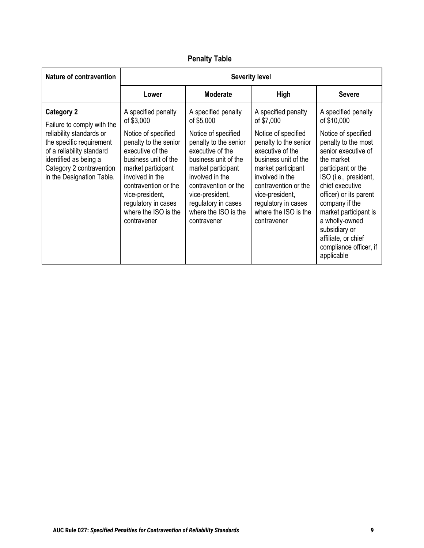| <b>Nature of contravention</b>                                                                                                                                                                                         | <b>Severity level</b>                                                                                                                                                                                                                                                           |                                                                                                                                                                                                                                                                                 |                                                                                                                                                                                                                                                                                 |                                                                                                                                                                                                                                                                                                                                                                |
|------------------------------------------------------------------------------------------------------------------------------------------------------------------------------------------------------------------------|---------------------------------------------------------------------------------------------------------------------------------------------------------------------------------------------------------------------------------------------------------------------------------|---------------------------------------------------------------------------------------------------------------------------------------------------------------------------------------------------------------------------------------------------------------------------------|---------------------------------------------------------------------------------------------------------------------------------------------------------------------------------------------------------------------------------------------------------------------------------|----------------------------------------------------------------------------------------------------------------------------------------------------------------------------------------------------------------------------------------------------------------------------------------------------------------------------------------------------------------|
|                                                                                                                                                                                                                        | Lower                                                                                                                                                                                                                                                                           | <b>Moderate</b>                                                                                                                                                                                                                                                                 | <b>High</b>                                                                                                                                                                                                                                                                     | <b>Severe</b>                                                                                                                                                                                                                                                                                                                                                  |
| <b>Category 2</b><br>Failure to comply with the<br>reliability standards or<br>the specific requirement<br>of a reliability standard<br>identified as being a<br>Category 2 contravention<br>in the Designation Table. | A specified penalty<br>of \$3,000<br>Notice of specified<br>penalty to the senior<br>executive of the<br>business unit of the<br>market participant<br>involved in the<br>contravention or the<br>vice-president,<br>regulatory in cases<br>where the ISO is the<br>contravener | A specified penalty<br>of \$5,000<br>Notice of specified<br>penalty to the senior<br>executive of the<br>business unit of the<br>market participant<br>involved in the<br>contravention or the<br>vice-president,<br>regulatory in cases<br>where the ISO is the<br>contravener | A specified penalty<br>of \$7,000<br>Notice of specified<br>penalty to the senior<br>executive of the<br>business unit of the<br>market participant<br>involved in the<br>contravention or the<br>vice-president,<br>regulatory in cases<br>where the ISO is the<br>contravener | A specified penalty<br>of \$10,000<br>Notice of specified<br>penalty to the most<br>senior executive of<br>the market<br>participant or the<br>ISO (i.e., president,<br>chief executive<br>officer) or its parent<br>company if the<br>market participant is<br>a wholly-owned<br>subsidiary or<br>affiliate, or chief<br>compliance officer, if<br>applicable |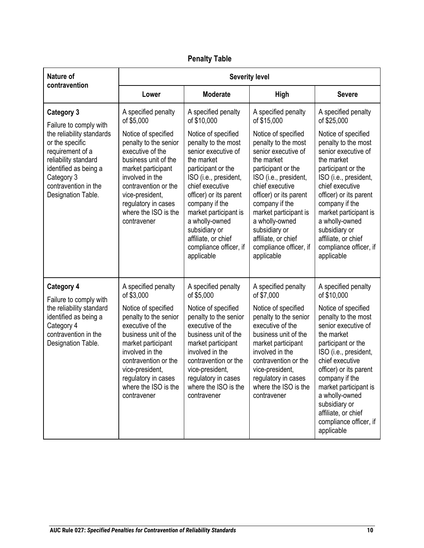| <b>Nature of</b>                                                                                                                                                              | <b>Severity level</b>                                                                                                                                                                                                                      |                                                                                                                                                                                                                                                                                                                          |                                                                                                                                                                                                                                                                                                                          |                                                                                                                                                                                                                                                                                                                          |
|-------------------------------------------------------------------------------------------------------------------------------------------------------------------------------|--------------------------------------------------------------------------------------------------------------------------------------------------------------------------------------------------------------------------------------------|--------------------------------------------------------------------------------------------------------------------------------------------------------------------------------------------------------------------------------------------------------------------------------------------------------------------------|--------------------------------------------------------------------------------------------------------------------------------------------------------------------------------------------------------------------------------------------------------------------------------------------------------------------------|--------------------------------------------------------------------------------------------------------------------------------------------------------------------------------------------------------------------------------------------------------------------------------------------------------------------------|
| contravention                                                                                                                                                                 | Lower                                                                                                                                                                                                                                      | <b>Moderate</b>                                                                                                                                                                                                                                                                                                          | <b>High</b>                                                                                                                                                                                                                                                                                                              | <b>Severe</b>                                                                                                                                                                                                                                                                                                            |
| <b>Category 3</b><br>Failure to comply with                                                                                                                                   | A specified penalty<br>of \$5,000                                                                                                                                                                                                          | A specified penalty<br>of \$10,000                                                                                                                                                                                                                                                                                       | A specified penalty<br>of \$15,000                                                                                                                                                                                                                                                                                       | A specified penalty<br>of \$25,000                                                                                                                                                                                                                                                                                       |
| the reliability standards<br>or the specific<br>requirement of a<br>reliability standard<br>identified as being a<br>Category 3<br>contravention in the<br>Designation Table. | Notice of specified<br>penalty to the senior<br>executive of the<br>business unit of the<br>market participant<br>involved in the<br>contravention or the<br>vice-president,<br>regulatory in cases<br>where the ISO is the<br>contravener | Notice of specified<br>penalty to the most<br>senior executive of<br>the market<br>participant or the<br>ISO (i.e., president,<br>chief executive<br>officer) or its parent<br>company if the<br>market participant is<br>a wholly-owned<br>subsidiary or<br>affiliate, or chief<br>compliance officer, if<br>applicable | Notice of specified<br>penalty to the most<br>senior executive of<br>the market<br>participant or the<br>ISO (i.e., president,<br>chief executive<br>officer) or its parent<br>company if the<br>market participant is<br>a wholly-owned<br>subsidiary or<br>affiliate, or chief<br>compliance officer, if<br>applicable | Notice of specified<br>penalty to the most<br>senior executive of<br>the market<br>participant or the<br>ISO (i.e., president,<br>chief executive<br>officer) or its parent<br>company if the<br>market participant is<br>a wholly-owned<br>subsidiary or<br>affiliate, or chief<br>compliance officer, if<br>applicable |
| <b>Category 4</b><br>Failure to comply with                                                                                                                                   | A specified penalty<br>of \$3,000                                                                                                                                                                                                          | A specified penalty<br>of \$5,000                                                                                                                                                                                                                                                                                        | A specified penalty<br>of \$7,000                                                                                                                                                                                                                                                                                        | A specified penalty<br>of \$10,000                                                                                                                                                                                                                                                                                       |
| the reliability standard<br>identified as being a<br>Category 4<br>contravention in the<br>Designation Table.                                                                 | Notice of specified<br>penalty to the senior<br>executive of the<br>business unit of the<br>market participant<br>involved in the<br>contravention or the<br>vice-president,<br>regulatory in cases<br>where the ISO is the<br>contravener | Notice of specified<br>penalty to the senior<br>executive of the<br>business unit of the<br>market participant<br>involved in the<br>contravention or the<br>vice-president,<br>regulatory in cases<br>where the ISO is the<br>contravener                                                                               | Notice of specified<br>penalty to the senior<br>executive of the<br>business unit of the<br>market participant<br>involved in the<br>contravention or the<br>vice-president,<br>regulatory in cases<br>where the ISO is the<br>contravener                                                                               | Notice of specified<br>penalty to the most<br>senior executive of<br>the market<br>participant or the<br>ISO (i.e., president,<br>chief executive<br>officer) or its parent<br>company if the<br>market participant is<br>a wholly-owned<br>subsidiary or<br>affiliate, or chief<br>compliance officer, if<br>applicable |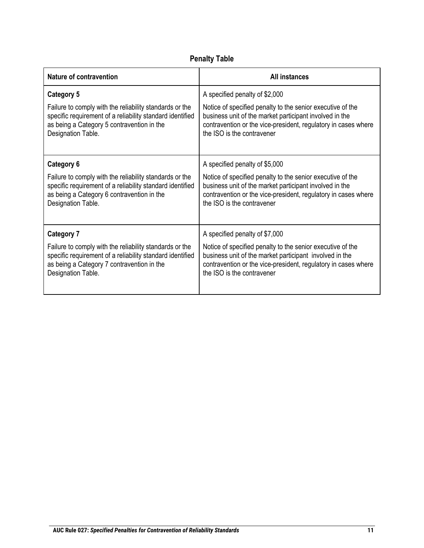| <b>Nature of contravention</b>                            | <b>All instances</b>                                           |  |
|-----------------------------------------------------------|----------------------------------------------------------------|--|
| <b>Category 5</b>                                         | A specified penalty of \$2,000                                 |  |
| Failure to comply with the reliability standards or the   | Notice of specified penalty to the senior executive of the     |  |
| specific requirement of a reliability standard identified | business unit of the market participant involved in the        |  |
| as being a Category 5 contravention in the                | contravention or the vice-president, regulatory in cases where |  |
| Designation Table.                                        | the ISO is the contravener                                     |  |
| Category 6                                                | A specified penalty of \$5,000                                 |  |
| Failure to comply with the reliability standards or the   | Notice of specified penalty to the senior executive of the     |  |
| specific requirement of a reliability standard identified | business unit of the market participant involved in the        |  |
| as being a Category 6 contravention in the                | contravention or the vice-president, regulatory in cases where |  |
| Designation Table.                                        | the ISO is the contravener                                     |  |
| <b>Category 7</b>                                         | A specified penalty of \$7,000                                 |  |
| Failure to comply with the reliability standards or the   | Notice of specified penalty to the senior executive of the     |  |
| specific requirement of a reliability standard identified | business unit of the market participant involved in the        |  |
| as being a Category 7 contravention in the                | contravention or the vice-president, regulatory in cases where |  |
| Designation Table.                                        | the ISO is the contravener                                     |  |